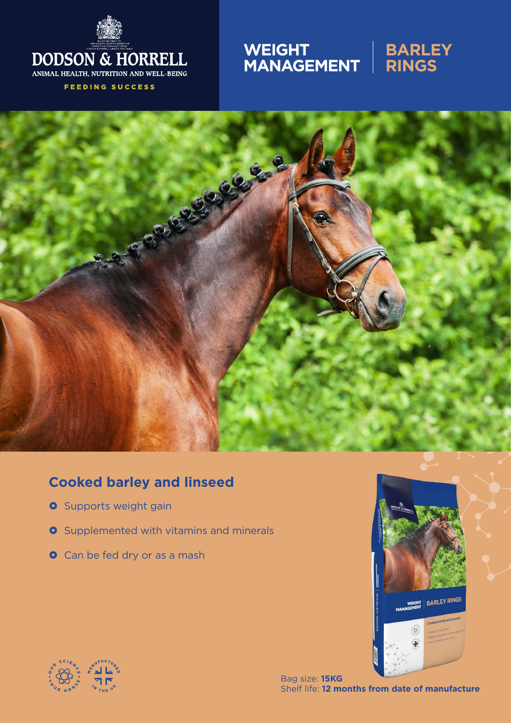

**FEEDING SUCCESS** 

#### **WEIGHT MANAGEMENT BARLEY RINGS**



# **Cooked barley and linseed**

- **O** Supports weight gain
- **O** Supplemented with vitamins and minerals
- **O** Can be fed dry or as a mash





Bag size: **15KG** Shelf life: **12 months from date of manufacture**